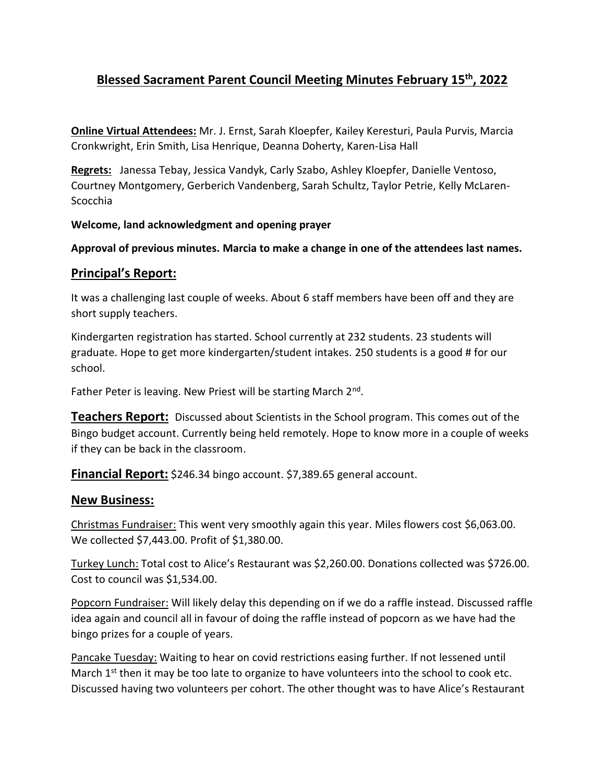# **Blessed Sacrament Parent Council Meeting Minutes February 15th, 2022**

**Online Virtual Attendees:** Mr. J. Ernst, Sarah Kloepfer, Kailey Keresturi, Paula Purvis, Marcia Cronkwright, Erin Smith, Lisa Henrique, Deanna Doherty, Karen-Lisa Hall

**Regrets:** Janessa Tebay, Jessica Vandyk, Carly Szabo, Ashley Kloepfer, Danielle Ventoso, Courtney Montgomery, Gerberich Vandenberg, Sarah Schultz, Taylor Petrie, Kelly McLaren-Scocchia

### **Welcome, land acknowledgment and opening prayer**

**Approval of previous minutes. Marcia to make a change in one of the attendees last names.**

### **Principal's Report:**

It was a challenging last couple of weeks. About 6 staff members have been off and they are short supply teachers.

Kindergarten registration has started. School currently at 232 students. 23 students will graduate. Hope to get more kindergarten/student intakes. 250 students is a good # for our school.

Father Peter is leaving. New Priest will be starting March 2<sup>nd</sup>.

**Teachers Report:** Discussed about Scientists in the School program. This comes out of the Bingo budget account. Currently being held remotely. Hope to know more in a couple of weeks if they can be back in the classroom.

**Financial Report:** \$246.34 bingo account. \$7,389.65 general account.

### **New Business:**

Christmas Fundraiser: This went very smoothly again this year. Miles flowers cost \$6,063.00. We collected \$7,443.00. Profit of \$1,380.00.

Turkey Lunch: Total cost to Alice's Restaurant was \$2,260.00. Donations collected was \$726.00. Cost to council was \$1,534.00.

Popcorn Fundraiser: Will likely delay this depending on if we do a raffle instead. Discussed raffle idea again and council all in favour of doing the raffle instead of popcorn as we have had the bingo prizes for a couple of years.

Pancake Tuesday: Waiting to hear on covid restrictions easing further. If not lessened until March  $1<sup>st</sup>$  then it may be too late to organize to have volunteers into the school to cook etc. Discussed having two volunteers per cohort. The other thought was to have Alice's Restaurant